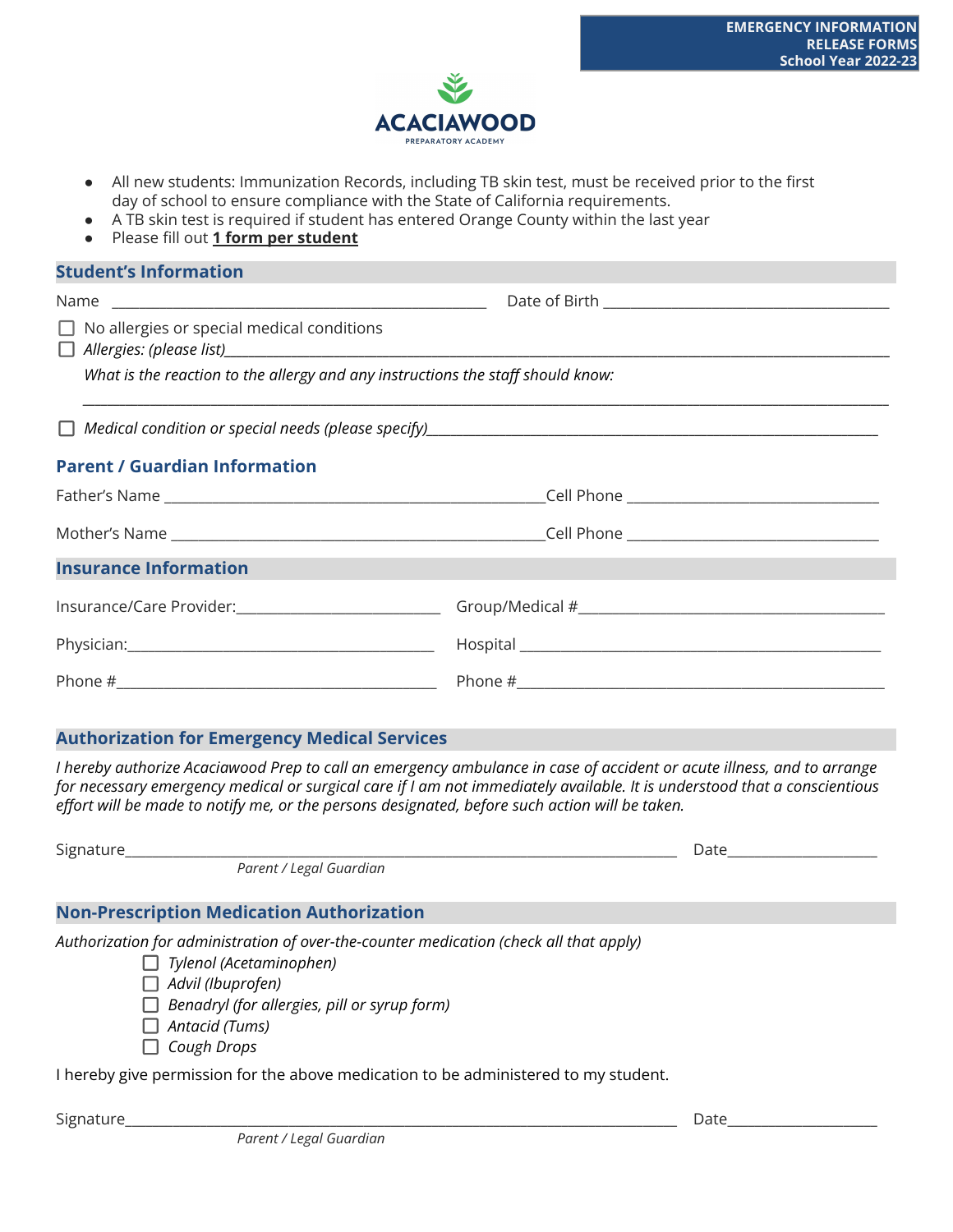

- All new students: Immunization Records, including TB skin test, must be received prior to the first day of school to ensure compliance with the State of California requirements.
- A TB skin test is required if student has entered Orange County within the last year
- Please fill out **1 form per student**

| <b>Student's Information</b>                                                         |  |  |
|--------------------------------------------------------------------------------------|--|--|
|                                                                                      |  |  |
| $\Box$ No allergies or special medical conditions<br>$\Box$ Allergies: (please list) |  |  |
| What is the reaction to the allergy and any instructions the staff should know:      |  |  |
|                                                                                      |  |  |
| <b>Parent / Guardian Information</b>                                                 |  |  |
|                                                                                      |  |  |
|                                                                                      |  |  |
| <b>Insurance Information</b>                                                         |  |  |
|                                                                                      |  |  |
|                                                                                      |  |  |
|                                                                                      |  |  |

## **Authorization for Emergency Medical Services**

I hereby authorize Acaciawood Prep to call an emergency ambulance in case of accident or acute illness, and to arrange for necessary emergency medical or surgical care if I am not immediately available. It is understood that a conscientious *effort will be made to notify me, or the persons designated, before such action will be taken.*

| Date |
|------|
|      |